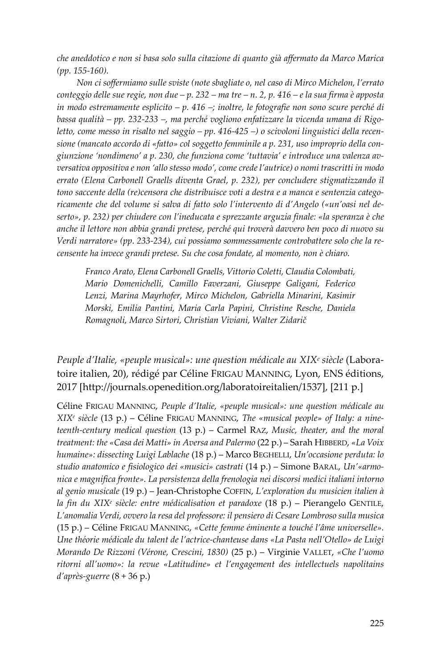*che aneddotico e non si basa solo sulla citazione di quanto già affermato da Marco Marica (pp. 155-160).*

*Non ci soffermiamo sulle sviste (note sbagliate o, nel caso di Mirco Michelon, l'errato conteggio delle sue regie, non due – p. 232 – ma tre – n. 2, p. 416 – e la sua firma è apposta in modo estremamente esplicito – p. 416 –; inoltre, le fotografie non sono scure perché di bassa qualità – pp. 232-233 –, ma perché vogliono enfatizzare la vicenda umana di Rigoletto, come messo in risalto nel saggio – pp. 416-425 –) o scivoloni linguistici della recensione (mancato accordo di «fatto» col soggetto femminile a p. 231, uso improprio della congiunzione 'nondimeno' a p. 230, che funziona come 'tuttavia' e introduce una valenza avversativa oppositiva e non 'allo stesso modo', come crede l'autrice) o nomi trascritti in modo errato (Elena Carbonell Graells diventa Grael, p. 232), per concludere stigmatizzando il tono saccente della (re)censora che distribuisce voti a destra e a manca e sentenzia categoricamente che del volume si salva di fatto solo l'intervento di d'Angelo («un'oasi nel deserto», p. 232) per chiudere con l'ineducata e sprezzante arguzia finale: «la speranza è che anche il lettore non abbia grandi pretese, perché qui troverà davvero ben poco di nuovo su Verdi narratore» (pp. 233-234), cui possiamo sommessamente controbattere solo che la recensente ha invece grandi pretese. Su che cosa fondate, al momento, non è chiaro.*

*Franco Arato, Elena Carbonell Graells, Vittorio Coletti, Claudia Colombati, Mario Domenichelli, Camillo Faverzani, Giuseppe Galigani, Federico Lenzi, Marina Mayrhofer, Mirco Michelon, Gabriella Minarini, Kasimir Morski, Emilia Pantini, Maria Carla Papini, Christine Resche, Daniela Romagnoli, Marco Sirtori, Christian Viviani, Walter Zidarič*

*Peuple d'Italie, «peuple musical»: une question médicale au XIXe siècle* (Laboratoire italien, 20), rédigé par Céline FRIGAU MANNING, Lyon, ENS éditions, 2017 [\[http://journals.openedition.org/laboratoireitalien/1537\]](http://journals.openedition.org/laboratoireitalien/1537), [211 p.]

Céline FRIGAU MANNING, *Peuple d'Italie, «peuple musical»: une question médicale au XIXe siècle* (13 p.) – Céline FRIGAU MANNING, *The «musical people» of Italy: a nineteenth-century medical question* (13 p.) – Carmel RAZ, *Music, theater, and the moral treatment: the «Casa dei Matti» in Aversa and Palermo* (22 p.) – Sarah HIBBERD, *«La Voix humaine»: dissecting Luigi Lablache* (18 p.) – Marco BEGHELLI, *Un'occasione perduta: lo studio anatomico e fisiologico dei «musici» castrati* (14 p.) – Simone BARAL, *Un'«armonica e magnifica fronte». La persistenza della frenologia nei discorsi medici italiani intorno al genio musicale* (19 p.) – Jean-Christophe COFFIN, *L'exploration du musicien italien à la fin du XIXe siècle: entre médicalisation et paradoxe* (18 p.) – Pierangelo GENTILE, *L'anomalia Verdi, ovvero la resa del professore: il pensiero di Cesare Lombroso sulla musica* (15 p.) – Céline FRIGAU MANNING, *«Cette femme éminente a touché l'âme universelle». Une théorie médicale du talent de l'actrice-chanteuse dans «La Pasta nell'Otello» de Luigi Morando De Rizzoni (Vérone, Crescini, 1830)* (25 p.) – Virginie VALLET, *«Che l'uomo ritorni all'uomo»: la revue «Latitudine» et l'engagement des intellectuels napolitains d'après-guerre* (8 + 36 p.)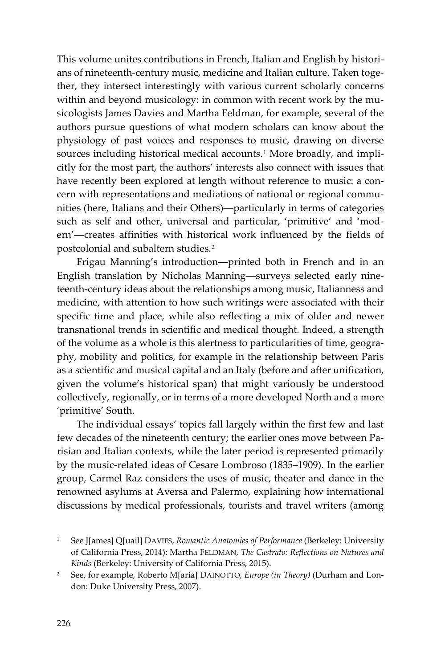This volume unites contributions in French, Italian and English by historians of nineteenth-century music, medicine and Italian culture. Taken together, they intersect interestingly with various current scholarly concerns within and beyond musicology: in common with recent work by the musicologists James Davies and Martha Feldman, for example, several of the authors pursue questions of what modern scholars can know about the physiology of past voices and responses to music, drawing on diverse sources including historical medical accounts.<sup>[1](#page-1-0)</sup> More broadly, and implicitly for the most part, the authors' interests also connect with issues that have recently been explored at length without reference to music: a concern with representations and mediations of national or regional communities (here, Italians and their Others)―particularly in terms of categories such as self and other, universal and particular, 'primitive' and 'modern'―creates affinities with historical work influenced by the fields of postcolonial and subaltern studies.[2](#page-1-1)

Frigau Manning's introduction―printed both in French and in an English translation by Nicholas Manning―surveys selected early nineteenth-century ideas about the relationships among music, Italianness and medicine, with attention to how such writings were associated with their specific time and place, while also reflecting a mix of older and newer transnational trends in scientific and medical thought. Indeed, a strength of the volume as a whole is this alertness to particularities of time, geography, mobility and politics, for example in the relationship between Paris as a scientific and musical capital and an Italy (before and after unification, given the volume's historical span) that might variously be understood collectively, regionally, or in terms of a more developed North and a more 'primitive' South.

The individual essays' topics fall largely within the first few and last few decades of the nineteenth century; the earlier ones move between Parisian and Italian contexts, while the later period is represented primarily by the music-related ideas of Cesare Lombroso (1835–1909). In the earlier group, Carmel Raz considers the uses of music, theater and dance in the renowned asylums at Aversa and Palermo, explaining how international discussions by medical professionals, tourists and travel writers (among

<span id="page-1-0"></span><sup>&</sup>lt;sup>1</sup> See J[ames] Q[uail] DAVIES, *Romantic Anatomies of Performance* (Berkeley: University of California Press, 2014); Martha FELDMAN, *The Castrato: Reflections on Natures and Kinds* (Berkeley: University of California Press, 2015).

<span id="page-1-1"></span><sup>2</sup> See, for example, Roberto M[aria] DAINOTTO, *Europe (in Theory)* (Durham and London: Duke University Press, 2007).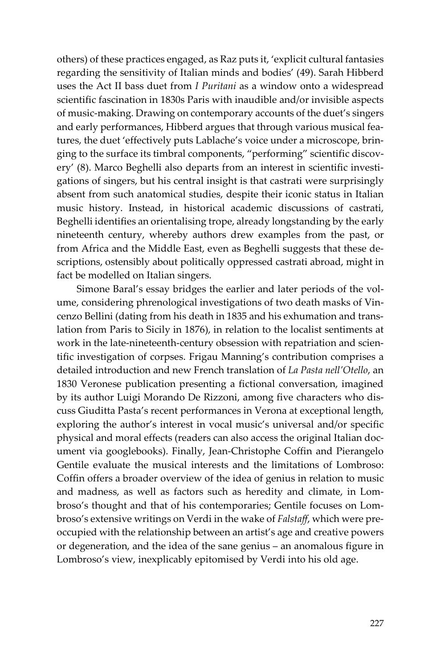others) of these practices engaged, as Raz puts it, 'explicit cultural fantasies regarding the sensitivity of Italian minds and bodies' (49). Sarah Hibberd uses the Act II bass duet from *I Puritani* as a window onto a widespread scientific fascination in 1830s Paris with inaudible and/or invisible aspects of music-making. Drawing on contemporary accounts of the duet's singers and early performances, Hibberd argues that through various musical features, the duet 'effectively puts Lablache's voice under a microscope, bringing to the surface its timbral components, "performing" scientific discovery' (8). Marco Beghelli also departs from an interest in scientific investigations of singers, but his central insight is that castrati were surprisingly absent from such anatomical studies, despite their iconic status in Italian music history. Instead, in historical academic discussions of castrati, Beghelli identifies an orientalising trope, already longstanding by the early nineteenth century, whereby authors drew examples from the past, or from Africa and the Middle East, even as Beghelli suggests that these descriptions, ostensibly about politically oppressed castrati abroad, might in fact be modelled on Italian singers.

Simone Baral's essay bridges the earlier and later periods of the volume, considering phrenological investigations of two death masks of Vincenzo Bellini (dating from his death in 1835 and his exhumation and translation from Paris to Sicily in 1876), in relation to the localist sentiments at work in the late-nineteenth-century obsession with repatriation and scientific investigation of corpses. Frigau Manning's contribution comprises a detailed introduction and new French translation of *La Pasta nell'Otello*, an 1830 Veronese publication presenting a fictional conversation, imagined by its author Luigi Morando De Rizzoni, among five characters who discuss Giuditta Pasta's recent performances in Verona at exceptional length, exploring the author's interest in vocal music's universal and/or specific physical and moral effects (readers can also access the original Italian document via googlebooks). Finally, Jean-Christophe Coffin and Pierangelo Gentile evaluate the musical interests and the limitations of Lombroso: Coffin offers a broader overview of the idea of genius in relation to music and madness, as well as factors such as heredity and climate, in Lombroso's thought and that of his contemporaries; Gentile focuses on Lombroso's extensive writings on Verdi in the wake of *Falstaff*, which were preoccupied with the relationship between an artist's age and creative powers or degeneration, and the idea of the sane genius – an anomalous figure in Lombroso's view, inexplicably epitomised by Verdi into his old age.